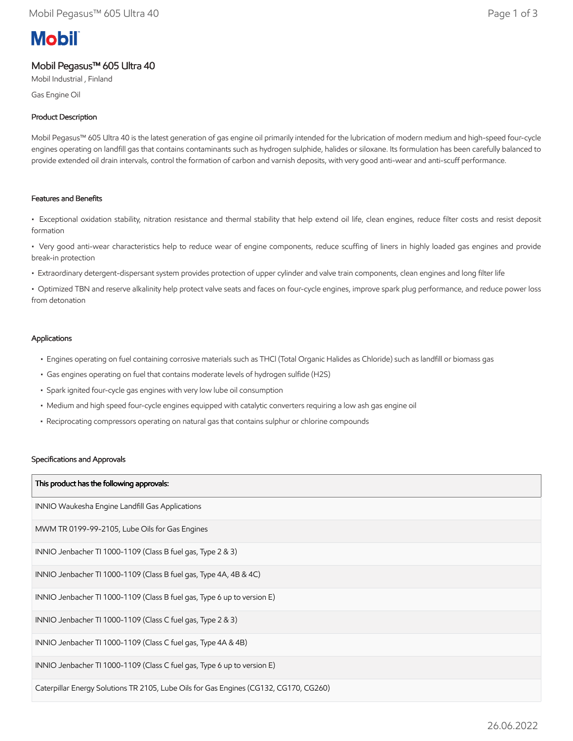# **Mobil**

# Mobil Pegasus™ 605 Ultra 40

Mobil Industrial , Finland

Gas Engine Oil

# Product Description

Mobil Pegasus™ 605 Ultra 40 is the latest generation of gas engine oil primarily intended for the lubrication of modern medium and high-speed four-cycle engines operating on landfill gas that contains contaminants such as hydrogen sulphide, halides or siloxane. Its formulation has been carefully balanced to provide extended oil drain intervals, control the formation of carbon and varnish deposits, with very good anti-wear and anti-scuff performance.

## Features and Benefits

• Exceptional oxidation stability, nitration resistance and thermal stability that help extend oil life, clean engines, reduce filter costs and resist deposit formation

• Very good anti-wear characteristics help to reduce wear of engine components, reduce scuffing of liners in highly loaded gas engines and provide break-in protection

• Extraordinary detergent-dispersant system provides protection of upper cylinder and valve train components, clean engines and long filter life

• Optimized TBN and reserve alkalinity help protect valve seats and faces on four-cycle engines, improve spark plug performance, and reduce power loss from detonation

### Applications

- Engines operating on fuel containing corrosive materials such as THCl (Total Organic Halides as Chloride) such as landfill or biomass gas
- Gas engines operating on fuel that contains moderate levels of hydrogen sulfide (H2S)
- Spark ignited four-cycle gas engines with very low lube oil consumption
- Medium and high speed four-cycle engines equipped with catalytic converters requiring a low ash gas engine oil
- Reciprocating compressors operating on natural gas that contains sulphur or chlorine compounds

#### Specifications and Approvals

| This product has the following approvals:                                             |  |  |  |
|---------------------------------------------------------------------------------------|--|--|--|
| INNIO Waukesha Engine Landfill Gas Applications                                       |  |  |  |
| MWM TR 0199-99-2105, Lube Oils for Gas Engines                                        |  |  |  |
| INNIO Jenbacher TI 1000-1109 (Class B fuel gas, Type 2 & 3)                           |  |  |  |
| INNIO Jenbacher TI 1000-1109 (Class B fuel gas, Type 4A, 4B & 4C)                     |  |  |  |
| INNIO Jenbacher TI 1000-1109 (Class B fuel gas, Type 6 up to version E)               |  |  |  |
| INNIO Jenbacher TI 1000-1109 (Class C fuel gas, Type 2 & 3)                           |  |  |  |
| INNIO Jenbacher TI 1000-1109 (Class C fuel gas, Type 4A & 4B)                         |  |  |  |
| INNIO Jenbacher TI 1000-1109 (Class C fuel gas, Type 6 up to version E)               |  |  |  |
| Caterpillar Energy Solutions TR 2105, Lube Oils for Gas Engines (CG132, CG170, CG260) |  |  |  |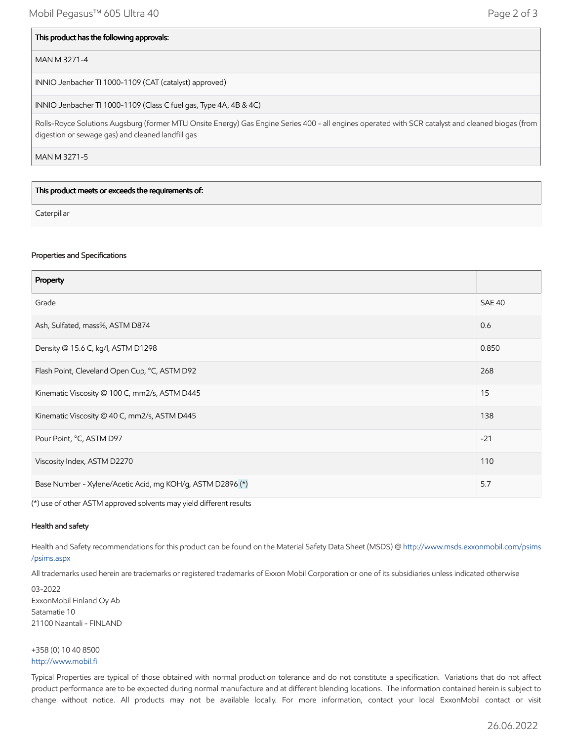#### This product has the following approvals:

#### MAN M 3271-4

INNIO Jenbacher TI 1000-1109 (CAT (catalyst) approved)

INNIO Jenbacher TI 1000-1109 (Class C fuel gas, Type 4A, 4B & 4C)

Rolls-Royce Solutions Augsburg (former MTU Onsite Energy) Gas Engine Series 400 - all engines operated with SCR catalyst and cleaned biogas (from digestion or sewage gas) and cleaned landfill gas

MAN M 3271-5

This product meets or exceeds the requirements of:

**Caterpillar** 

#### Properties and Specifications

| Property                                                   |       |  |  |  |
|------------------------------------------------------------|-------|--|--|--|
| Grade                                                      |       |  |  |  |
| Ash, Sulfated, mass%, ASTM D874                            | 0.6   |  |  |  |
| Density @ 15.6 C, kg/l, ASTM D1298                         | 0.850 |  |  |  |
| Flash Point, Cleveland Open Cup, °C, ASTM D92<br>268       |       |  |  |  |
| Kinematic Viscosity @ 100 C, mm2/s, ASTM D445              | 15    |  |  |  |
| Kinematic Viscosity @ 40 C, mm2/s, ASTM D445               | 138   |  |  |  |
| $-21$<br>Pour Point, °C, ASTM D97                          |       |  |  |  |
| Viscosity Index, ASTM D2270                                | 110   |  |  |  |
| Base Number - Xylene/Acetic Acid, mg KOH/g, ASTM D2896 (*) | 5.7   |  |  |  |

(\*) use of other ASTM approved solvents may yield different results

#### Health and safety

Health and Safety recommendations for this product can be found on the Material Safety Data Sheet (MSDS) @ [http://www.msds.exxonmobil.com/psims](http://www.msds.exxonmobil.com/psims/psims.aspx) /psims.aspx

All trademarks used herein are trademarks or registered trademarks of Exxon Mobil Corporation or one of its subsidiaries unless indicated otherwise

03-2022 ExxonMobil Finland Oy Ab Satamatie 10 21100 Naantali - FINLAND

+358 (0) 10 40 8500 [http://www.mobil.fi](http://www.mobil.fi/)

Typical Properties are typical of those obtained with normal production tolerance and do not constitute a specification. Variations that do not affect product performance are to be expected during normal manufacture and at different blending locations. The information contained herein is subject to change without notice. All products may not be available locally. For more information, contact your local ExxonMobil contact or visit